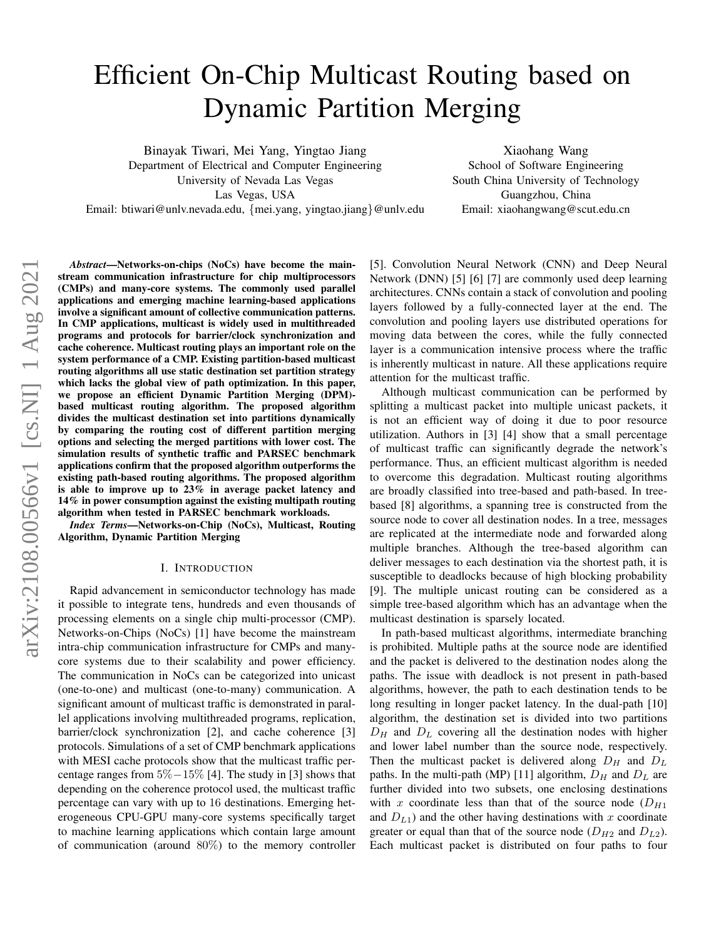# Efficient On-Chip Multicast Routing based on Dynamic Partition Merging

Binayak Tiwari, Mei Yang, Yingtao Jiang Department of Electrical and Computer Engineering University of Nevada Las Vegas Las Vegas, USA Email: btiwari@unlv.nevada.edu, {mei.yang, yingtao.jiang}@unlv.edu

Xiaohang Wang School of Software Engineering South China University of Technology Guangzhou, China Email: xiaohangwang@scut.edu.cn

*Abstract*—Networks-on-chips (NoCs) have become the mainstream communication infrastructure for chip multiprocessors (CMPs) and many-core systems. The commonly used parallel applications and emerging machine learning-based applications involve a significant amount of collective communication patterns. In CMP applications, multicast is widely used in multithreaded programs and protocols for barrier/clock synchronization and cache coherence. Multicast routing plays an important role on the system performance of a CMP. Existing partition-based multicast routing algorithms all use static destination set partition strategy which lacks the global view of path optimization. In this paper, we propose an efficient Dynamic Partition Merging (DPM) based multicast routing algorithm. The proposed algorithm divides the multicast destination set into partitions dynamically by comparing the routing cost of different partition merging options and selecting the merged partitions with lower cost. The simulation results of synthetic traffic and PARSEC benchmark applications confirm that the proposed algorithm outperforms the existing path-based routing algorithms. The proposed algorithm is able to improve up to  $23\%$  in average packet latency and 14% in power consumption against the existing multipath routing algorithm when tested in PARSEC benchmark workloads.

*Index Terms*—Networks-on-Chip (NoCs), Multicast, Routing Algorithm, Dynamic Partition Merging

#### I. INTRODUCTION

Rapid advancement in semiconductor technology has made it possible to integrate tens, hundreds and even thousands of processing elements on a single chip multi-processor (CMP). Networks-on-Chips (NoCs) [1] have become the mainstream intra-chip communication infrastructure for CMPs and manycore systems due to their scalability and power efficiency. The communication in NoCs can be categorized into unicast (one-to-one) and multicast (one-to-many) communication. A significant amount of multicast traffic is demonstrated in parallel applications involving multithreaded programs, replication, barrier/clock synchronization [2], and cache coherence [3] protocols. Simulations of a set of CMP benchmark applications with MESI cache protocols show that the multicast traffic percentage ranges from  $5\% - 15\%$  [4]. The study in [3] shows that depending on the coherence protocol used, the multicast traffic percentage can vary with up to 16 destinations. Emerging heterogeneous CPU-GPU many-core systems specifically target to machine learning applications which contain large amount of communication (around  $80\%$ ) to the memory controller [5]. Convolution Neural Network (CNN) and Deep Neural Network (DNN) [5] [6] [7] are commonly used deep learning architectures. CNNs contain a stack of convolution and pooling layers followed by a fully-connected layer at the end. The convolution and pooling layers use distributed operations for moving data between the cores, while the fully connected layer is a communication intensive process where the traffic is inherently multicast in nature. All these applications require attention for the multicast traffic.

Although multicast communication can be performed by splitting a multicast packet into multiple unicast packets, it is not an efficient way of doing it due to poor resource utilization. Authors in [3] [4] show that a small percentage of multicast traffic can significantly degrade the network's performance. Thus, an efficient multicast algorithm is needed to overcome this degradation. Multicast routing algorithms are broadly classified into tree-based and path-based. In treebased [8] algorithms, a spanning tree is constructed from the source node to cover all destination nodes. In a tree, messages are replicated at the intermediate node and forwarded along multiple branches. Although the tree-based algorithm can deliver messages to each destination via the shortest path, it is susceptible to deadlocks because of high blocking probability [9]. The multiple unicast routing can be considered as a simple tree-based algorithm which has an advantage when the multicast destination is sparsely located.

In path-based multicast algorithms, intermediate branching is prohibited. Multiple paths at the source node are identified and the packet is delivered to the destination nodes along the paths. The issue with deadlock is not present in path-based algorithms, however, the path to each destination tends to be long resulting in longer packet latency. In the dual-path [10] algorithm, the destination set is divided into two partitions  $D_H$  and  $D_L$  covering all the destination nodes with higher and lower label number than the source node, respectively. Then the multicast packet is delivered along  $D_H$  and  $D_L$ paths. In the multi-path (MP) [11] algorithm,  $D_H$  and  $D_L$  are further divided into two subsets, one enclosing destinations with x coordinate less than that of the source node  $(D_{H1})$ and  $D_{L1}$ ) and the other having destinations with x coordinate greater or equal than that of the source node ( $D_{H2}$  and  $D_{L2}$ ). Each multicast packet is distributed on four paths to four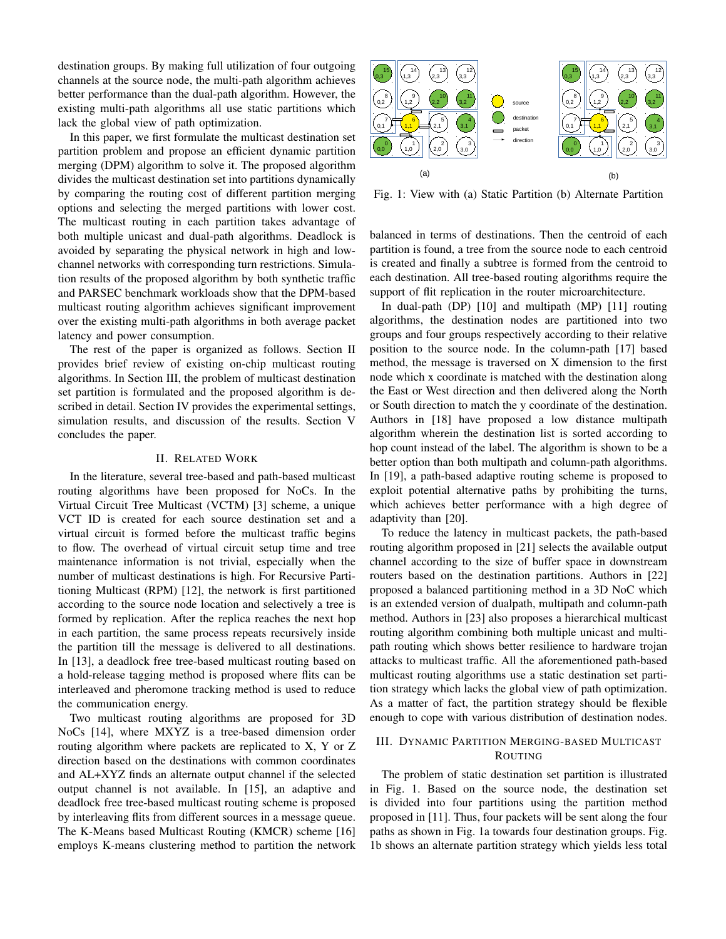destination groups. By making full utilization of four outgoing channels at the source node, the multi-path algorithm achieves better performance than the dual-path algorithm. However, the existing multi-path algorithms all use static partitions which lack the global view of path optimization.

In this paper, we first formulate the multicast destination set partition problem and propose an efficient dynamic partition merging (DPM) algorithm to solve it. The proposed algorithm divides the multicast destination set into partitions dynamically by comparing the routing cost of different partition merging options and selecting the merged partitions with lower cost. The multicast routing in each partition takes advantage of both multiple unicast and dual-path algorithms. Deadlock is avoided by separating the physical network in high and lowchannel networks with corresponding turn restrictions. Simulation results of the proposed algorithm by both synthetic traffic and PARSEC benchmark workloads show that the DPM-based multicast routing algorithm achieves significant improvement over the existing multi-path algorithms in both average packet latency and power consumption.

The rest of the paper is organized as follows. Section II provides brief review of existing on-chip multicast routing algorithms. In Section III, the problem of multicast destination set partition is formulated and the proposed algorithm is described in detail. Section IV provides the experimental settings, simulation results, and discussion of the results. Section V concludes the paper.

## II. RELATED WORK

In the literature, several tree-based and path-based multicast routing algorithms have been proposed for NoCs. In the Virtual Circuit Tree Multicast (VCTM) [3] scheme, a unique VCT ID is created for each source destination set and a virtual circuit is formed before the multicast traffic begins to flow. The overhead of virtual circuit setup time and tree maintenance information is not trivial, especially when the number of multicast destinations is high. For Recursive Partitioning Multicast (RPM) [12], the network is first partitioned according to the source node location and selectively a tree is formed by replication. After the replica reaches the next hop in each partition, the same process repeats recursively inside the partition till the message is delivered to all destinations. In [13], a deadlock free tree-based multicast routing based on a hold-release tagging method is proposed where flits can be interleaved and pheromone tracking method is used to reduce the communication energy.

Two multicast routing algorithms are proposed for 3D NoCs [14], where MXYZ is a tree-based dimension order routing algorithm where packets are replicated to X, Y or Z direction based on the destinations with common coordinates and AL+XYZ finds an alternate output channel if the selected output channel is not available. In [15], an adaptive and deadlock free tree-based multicast routing scheme is proposed by interleaving flits from different sources in a message queue. The K-Means based Multicast Routing (KMCR) scheme [16] employs K-means clustering method to partition the network



Fig. 1: View with (a) Static Partition (b) Alternate Partition

balanced in terms of destinations. Then the centroid of each partition is found, a tree from the source node to each centroid is created and finally a subtree is formed from the centroid to each destination. All tree-based routing algorithms require the support of flit replication in the router microarchitecture.

In dual-path (DP) [10] and multipath (MP) [11] routing algorithms, the destination nodes are partitioned into two groups and four groups respectively according to their relative position to the source node. In the column-path [17] based method, the message is traversed on X dimension to the first node which x coordinate is matched with the destination along the East or West direction and then delivered along the North or South direction to match the y coordinate of the destination. Authors in [18] have proposed a low distance multipath algorithm wherein the destination list is sorted according to hop count instead of the label. The algorithm is shown to be a better option than both multipath and column-path algorithms. In [19], a path-based adaptive routing scheme is proposed to exploit potential alternative paths by prohibiting the turns, which achieves better performance with a high degree of adaptivity than [20].

To reduce the latency in multicast packets, the path-based routing algorithm proposed in [21] selects the available output channel according to the size of buffer space in downstream routers based on the destination partitions. Authors in [22] proposed a balanced partitioning method in a 3D NoC which is an extended version of dualpath, multipath and column-path method. Authors in [23] also proposes a hierarchical multicast routing algorithm combining both multiple unicast and multipath routing which shows better resilience to hardware trojan attacks to multicast traffic. All the aforementioned path-based multicast routing algorithms use a static destination set partition strategy which lacks the global view of path optimization. As a matter of fact, the partition strategy should be flexible enough to cope with various distribution of destination nodes.

# III. DYNAMIC PARTITION MERGING-BASED MULTICAST ROUTING

The problem of static destination set partition is illustrated in Fig. 1. Based on the source node, the destination set is divided into four partitions using the partition method proposed in [11]. Thus, four packets will be sent along the four paths as shown in Fig. 1a towards four destination groups. Fig. 1b shows an alternate partition strategy which yields less total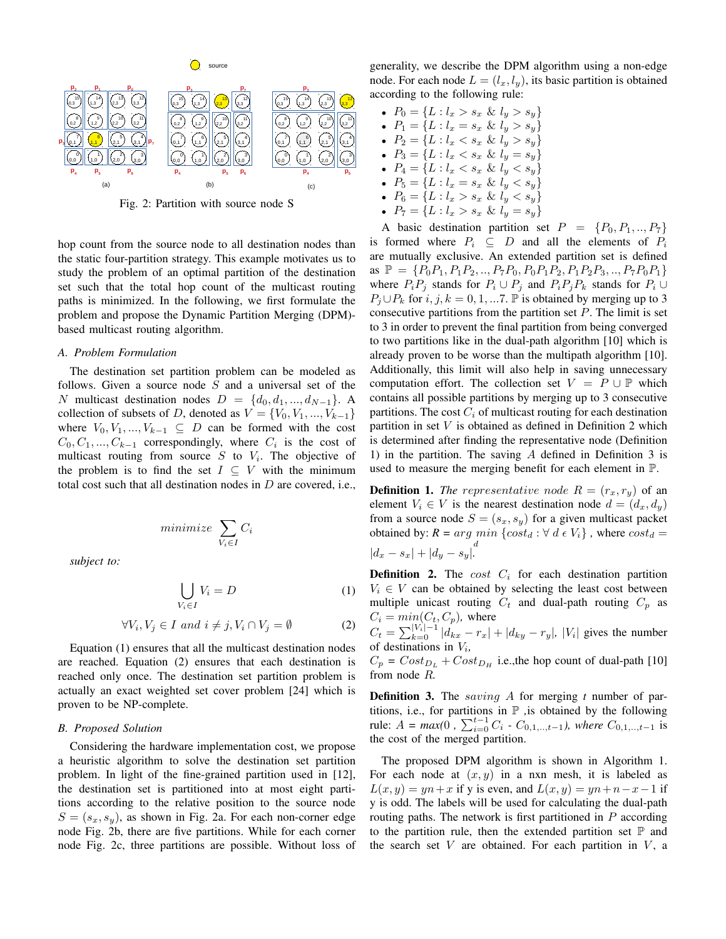

Fig. 2: Partition with source node S

hop count from the source node to all destination nodes than the static four-partition strategy. This example motivates us to study the problem of an optimal partition of the destination set such that the total hop count of the multicast routing paths is minimized. In the following, we first formulate the problem and propose the Dynamic Partition Merging (DPM) based multicast routing algorithm.

#### *A. Problem Formulation*

The destination set partition problem can be modeled as follows. Given a source node  $S$  and a universal set of the N multicast destination nodes  $D = \{d_0, d_1, ..., d_{N-1}\}.$  A collection of subsets of D, denoted as  $V = \{V_0, V_1, ..., V_{k-1}\}\$ where  $V_0, V_1, ..., V_{k-1} \subseteq D$  can be formed with the cost  $C_0, C_1, ..., C_{k-1}$  correspondingly, where  $C_i$  is the cost of multicast routing from source  $S$  to  $V_i$ . The objective of the problem is to find the set  $I \subseteq V$  with the minimum total cost such that all destination nodes in  $D$  are covered, i.e.,

$$
minimize \sum_{V_i \in I} C_i
$$

*subject to:*

$$
\bigcup_{V_i \in I} V_i = D \tag{1}
$$

$$
\forall V_i, V_j \in I \text{ and } i \neq j, V_i \cap V_j = \emptyset \tag{2}
$$

Equation (1) ensures that all the multicast destination nodes are reached. Equation (2) ensures that each destination is reached only once. The destination set partition problem is actually an exact weighted set cover problem [24] which is proven to be NP-complete.

#### *B. Proposed Solution*

Considering the hardware implementation cost, we propose a heuristic algorithm to solve the destination set partition problem. In light of the fine-grained partition used in [12], the destination set is partitioned into at most eight partitions according to the relative position to the source node  $S = (s_x, s_y)$ , as shown in Fig. 2a. For each non-corner edge node Fig. 2b, there are five partitions. While for each corner node Fig. 2c, three partitions are possible. Without loss of

generality, we describe the DPM algorithm using a non-edge node. For each node  $L = (l_x, l_y)$ , its basic partition is obtained according to the following rule:

- $P_0 = \{L : l_x > s_x \& l_y > s_y\}$
- $P_1 = \{L : l_x = s_x \& l_y > s_y\}$
- $P_2 = \{L : l_x < s_x \& l_y > s_y\}$ •  $P_3 = \{L : l_x < s_x \& l_y = s_y\}$
- $P_4 = \{L : l_x < s_x \& l_y < s_y\}$
- $P_5 = \{L : l_x = s_x \& l_y < s_y\}$
- $P_6 = \{L : l_x > s_x \& l_y < s_y\}$
- $P_7 = \{L : l_x > s_x \& l_y = s_y\}$

A basic destination partition set  $P = \{P_0, P_1, \ldots, P_7\}$ is formed where  $P_i \subseteq D$  and all the elements of  $P_i$ are mutually exclusive. An extended partition set is defined as  $\mathbb{P} = \{P_0P_1, P_1P_2, ..., P_7P_0, P_0P_1P_2, P_1P_2P_3, ..., P_7P_0P_1\}$ where  $P_i P_j$  stands for  $P_i \cup P_j$  and  $P_i P_j P_k$  stands for  $P_i \cup$  $P_j \cup P_k$  for  $i, j, k = 0, 1, \dots, 7$ .  $\mathbb P$  is obtained by merging up to 3 consecutive partitions from the partition set  $P$ . The limit is set to 3 in order to prevent the final partition from being converged to two partitions like in the dual-path algorithm [10] which is already proven to be worse than the multipath algorithm [10]. Additionally, this limit will also help in saving unnecessary computation effort. The collection set  $V = P \cup P$  which contains all possible partitions by merging up to 3 consecutive partitions. The cost  $C_i$  of multicast routing for each destination partition in set  $V$  is obtained as defined in Definition 2 which is determined after finding the representative node (Definition 1) in the partition. The saving A defined in Definition 3 is used to measure the merging benefit for each element in P.

**Definition 1.** *The representative node*  $R = (r_x, r_y)$  of an element  $V_i \in V$  is the nearest destination node  $d = (d_x, d_y)$ from a source node  $S = (s_x, s_y)$  for a given multicast packet obtained by:  $R = arg min \{cost_d : \forall d \in V_i\}$ , where  $cost_d =$  $|d_x - s_x| + |d_y - s_y|$ .

**Definition 2.** The cost  $C_i$  for each destination partition  $V_i \in V$  can be obtained by selecting the least cost between multiple unicast routing  $C_t$  and dual-path routing  $C_p$  as  $C_i = min(C_t, C_p)$ , where

 $C_t = \sum_{k=0}^{|V_i|-1} |\hat{d}_{kx} - r_x| + |d_{ky} - r_y|, |V_i|$  gives the number of destinations in  $V_i$ ,

 $C_p = Cost_{D_L} + Cost_{D_H}$  i.e.,the hop count of dual-path [10] from node R*.*

Definition 3. The saving A for merging *t* number of partitions, i.e., for partitions in  $\mathbb P$  *is* obtained by the following rule:  $A = max(0, \sum_{i=0}^{t-1} C_i - C_{0,1, \ldots, t-1})$ , where  $C_{0,1, \ldots, t-1}$  is the cost of the merged partition.

The proposed DPM algorithm is shown in Algorithm 1. For each node at  $(x, y)$  in a nxn mesh, it is labeled as  $L(x, y) = yn + x$  if y is even, and  $L(x, y) = yn + n - x - 1$  if y is odd. The labels will be used for calculating the dual-path routing paths. The network is first partitioned in P according to the partition rule, then the extended partition set  $\mathbb P$  and the search set  $V$  are obtained. For each partition in  $V$ , a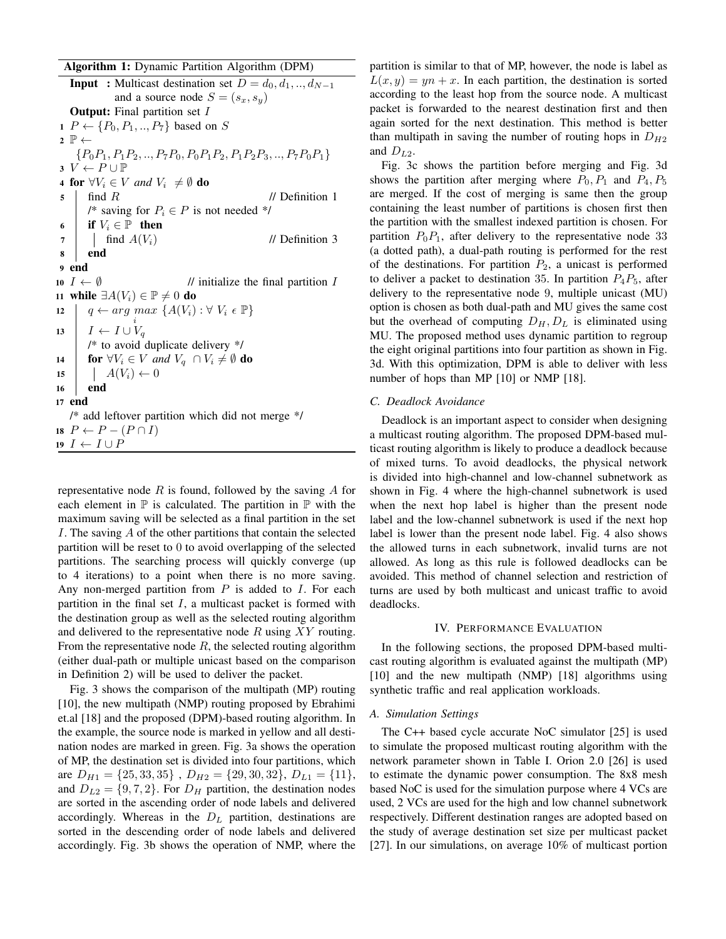## Algorithm 1: Dynamic Partition Algorithm (DPM)

**Input** : Multicast destination set  $D = d_0, d_1, \ldots, d_{N-1}$ and a source node  $S = (s_x, s_y)$ **Output:** Final partition set I 1  $P \leftarrow \{P_0, P_1, ..., P_7\}$  based on S  $2 \mathbb{P} \leftarrow$  $\{P_0P_1, P_1P_2, \ldots, P_7P_0, P_0P_1P_2, P_1P_2P_3, \ldots, P_7P_0P_1\}$  $\mathfrak{z} \ V \leftarrow P \cup \mathbb{P}$ 4 for  $\forall V_i \in V$  *and*  $V_i \neq \emptyset$  do  $\mathfrak{s}$  find R // Definition 1 /\* saving for  $P_i \in P$  is not needed \*/ 6 if  $V_i \in \mathbb{P}$  then  $7 \mid \text{find } A(V_i)$  // Definition 3 8 end 9 end 10  $I \leftarrow \emptyset$  // initialize the final partition I 11 while  $\exists A(V_i) \in \mathbb{P} \neq 0$  do 12  $\left[ q \leftarrow arg \ max \ \{A(V_i) : \forall \ V_i \in \mathbb{P} \}$  $\begin{array}{ccc} \texttt{13} & I & \leftarrow & I \cup {V_q} \end{array}$ /\* to avoid duplicate delivery \*/ 14 **for**  $\forall V_i \in V$  *and*  $V_a \cap V_i \neq \emptyset$  **do** 15  $\mid A(V_i) \leftarrow 0$ 16 end 17 end /\* add leftover partition which did not merge \*/ 18  $P \leftarrow P - (P \cap I)$ 19  $I \leftarrow I \cup P$ 

representative node R is found, followed by the saving A for each element in  $\mathbb P$  is calculated. The partition in  $\mathbb P$  with the maximum saving will be selected as a final partition in the set I. The saving A of the other partitions that contain the selected partition will be reset to 0 to avoid overlapping of the selected partitions. The searching process will quickly converge (up to 4 iterations) to a point when there is no more saving. Any non-merged partition from  $P$  is added to  $I$ . For each partition in the final set  $I$ , a multicast packet is formed with the destination group as well as the selected routing algorithm and delivered to the representative node  $R$  using  $XY$  routing. From the representative node  $R$ , the selected routing algorithm (either dual-path or multiple unicast based on the comparison in Definition 2) will be used to deliver the packet.

Fig. 3 shows the comparison of the multipath (MP) routing [10], the new multipath (NMP) routing proposed by Ebrahimi et.al [18] and the proposed (DPM)-based routing algorithm. In the example, the source node is marked in yellow and all destination nodes are marked in green. Fig. 3a shows the operation of MP, the destination set is divided into four partitions, which are  $D_{H1} = \{25, 33, 35\}$ ,  $D_{H2} = \{29, 30, 32\}$ ,  $D_{L1} = \{11\}$ , and  $D_{L2} = \{9, 7, 2\}$ . For  $D_H$  partition, the destination nodes are sorted in the ascending order of node labels and delivered accordingly. Whereas in the  $D<sub>L</sub>$  partition, destinations are sorted in the descending order of node labels and delivered accordingly. Fig. 3b shows the operation of NMP, where the

partition is similar to that of MP, however, the node is label as  $L(x, y) = yn + x$ . In each partition, the destination is sorted according to the least hop from the source node. A multicast packet is forwarded to the nearest destination first and then again sorted for the next destination. This method is better than multipath in saving the number of routing hops in  $D_{H2}$ and  $D_{L2}$ .

Fig. 3c shows the partition before merging and Fig. 3d shows the partition after merging where  $P_0$ ,  $P_1$  and  $P_4$ ,  $P_5$ are merged. If the cost of merging is same then the group containing the least number of partitions is chosen first then the partition with the smallest indexed partition is chosen. For partition  $P_0P_1$ , after delivery to the representative node 33 (a dotted path), a dual-path routing is performed for the rest of the destinations. For partition  $P_2$ , a unicast is performed to deliver a packet to destination 35. In partition  $P_4P_5$ , after delivery to the representative node 9, multiple unicast (MU) option is chosen as both dual-path and MU gives the same cost but the overhead of computing  $D_H, D_L$  is eliminated using MU. The proposed method uses dynamic partition to regroup the eight original partitions into four partition as shown in Fig. 3d. With this optimization, DPM is able to deliver with less number of hops than MP [10] or NMP [18].

### *C. Deadlock Avoidance*

Deadlock is an important aspect to consider when designing a multicast routing algorithm. The proposed DPM-based multicast routing algorithm is likely to produce a deadlock because of mixed turns. To avoid deadlocks, the physical network is divided into high-channel and low-channel subnetwork as shown in Fig. 4 where the high-channel subnetwork is used when the next hop label is higher than the present node label and the low-channel subnetwork is used if the next hop label is lower than the present node label. Fig. 4 also shows the allowed turns in each subnetwork, invalid turns are not allowed. As long as this rule is followed deadlocks can be avoided. This method of channel selection and restriction of turns are used by both multicast and unicast traffic to avoid deadlocks.

#### IV. PERFORMANCE EVALUATION

In the following sections, the proposed DPM-based multicast routing algorithm is evaluated against the multipath (MP) [10] and the new multipath (NMP) [18] algorithms using synthetic traffic and real application workloads.

#### *A. Simulation Settings*

The C++ based cycle accurate NoC simulator [25] is used to simulate the proposed multicast routing algorithm with the network parameter shown in Table I. Orion 2.0 [26] is used to estimate the dynamic power consumption. The 8x8 mesh based NoC is used for the simulation purpose where 4 VCs are used, 2 VCs are used for the high and low channel subnetwork respectively. Different destination ranges are adopted based on the study of average destination set size per multicast packet [27]. In our simulations, on average 10% of multicast portion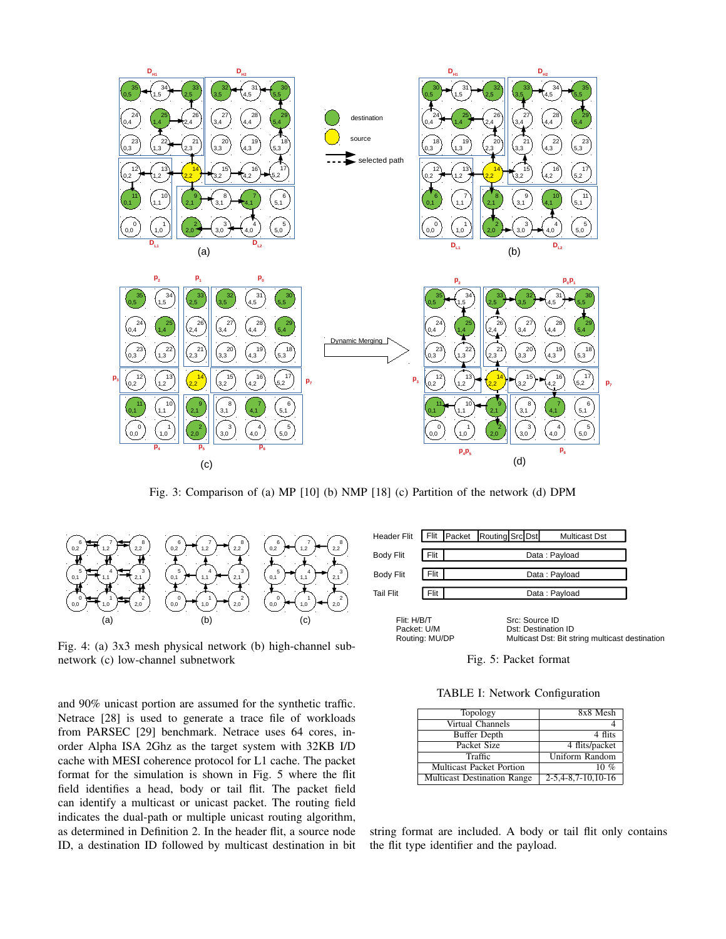

Fig. 3: Comparison of (a) MP [10] (b) NMP [18] (c) Partition of the network (d) DPM



Fig. 4: (a) 3x3 mesh physical network (b) high-channel subnetwork (c) low-channel subnetwork

and 90% unicast portion are assumed for the synthetic traffic. Netrace [28] is used to generate a trace file of workloads from PARSEC [29] benchmark. Netrace uses 64 cores, inorder Alpha ISA 2Ghz as the target system with 32KB I/D cache with MESI coherence protocol for L1 cache. The packet format for the simulation is shown in Fig. 5 where the flit field identifies a head, body or tail flit. The packet field can identify a multicast or unicast packet. The routing field indicates the dual-path or multiple unicast routing algorithm, as determined in Definition 2. In the header flit, a source node ID, a destination ID followed by multicast destination in bit



Fig. 5: Packet format

TABLE I: Network Configuration

| Topology                           | 8x8 Mesh           |
|------------------------------------|--------------------|
| Virtual Channels                   |                    |
| <b>Buffer Depth</b>                | 4 flits            |
| Packet Size                        | 4 flits/packet     |
| Traffic                            | Uniform Random     |
| <b>Multicast Packet Portion</b>    | 10 $%$             |
| <b>Multicast Destination Range</b> | 2-5,4-8,7-10,10-16 |

string format are included. A body or tail flit only contains the flit type identifier and the payload.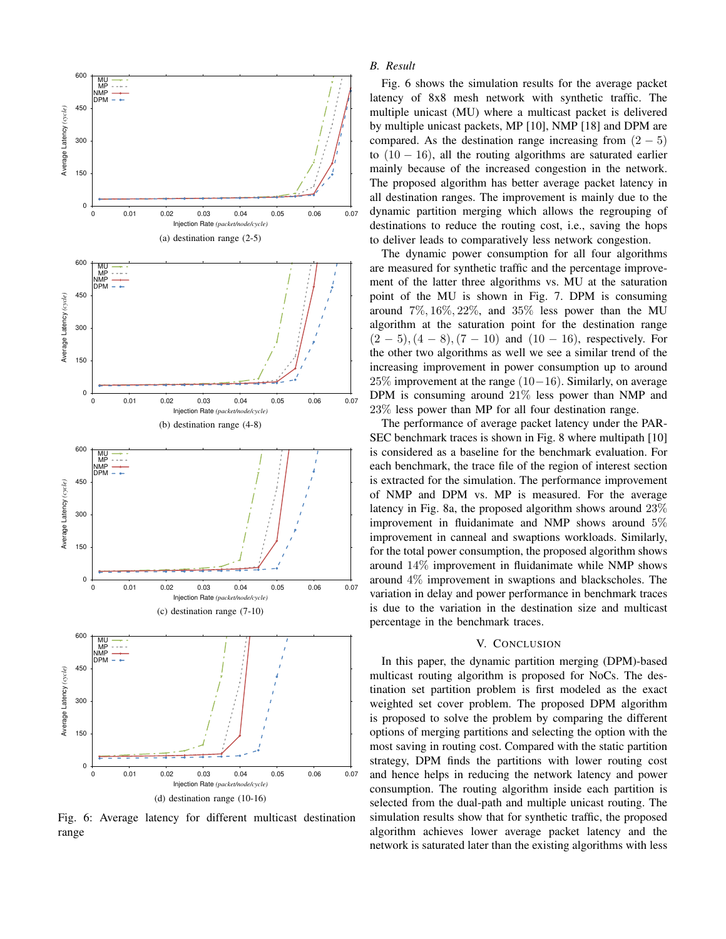

Fig. 6: Average latency for different multicast destination range

# *B. Result*

Fig. 6 shows the simulation results for the average packet latency of 8x8 mesh network with synthetic traffic. The multiple unicast (MU) where a multicast packet is delivered by multiple unicast packets, MP [10], NMP [18] and DPM are compared. As the destination range increasing from  $(2 - 5)$ to  $(10 - 16)$ , all the routing algorithms are saturated earlier mainly because of the increased congestion in the network. The proposed algorithm has better average packet latency in all destination ranges. The improvement is mainly due to the dynamic partition merging which allows the regrouping of destinations to reduce the routing cost, i.e., saving the hops to deliver leads to comparatively less network congestion.

The dynamic power consumption for all four algorithms are measured for synthetic traffic and the percentage improvement of the latter three algorithms vs. MU at the saturation point of the MU is shown in Fig. 7. DPM is consuming around  $7\%, 16\%, 22\%,$  and  $35\%$  less power than the MU algorithm at the saturation point for the destination range  $(2-5)$ ,  $(4-8)$ ,  $(7-10)$  and  $(10-16)$ , respectively. For the other two algorithms as well we see a similar trend of the increasing improvement in power consumption up to around  $25\%$  improvement at the range  $(10-16)$ . Similarly, on average DPM is consuming around 21% less power than NMP and 23% less power than MP for all four destination range.

The performance of average packet latency under the PAR-SEC benchmark traces is shown in Fig. 8 where multipath [10] is considered as a baseline for the benchmark evaluation. For each benchmark, the trace file of the region of interest section is extracted for the simulation. The performance improvement of NMP and DPM vs. MP is measured. For the average latency in Fig. 8a, the proposed algorithm shows around 23% improvement in fluidanimate and NMP shows around 5% improvement in canneal and swaptions workloads. Similarly, for the total power consumption, the proposed algorithm shows around 14% improvement in fluidanimate while NMP shows around 4% improvement in swaptions and blackscholes. The variation in delay and power performance in benchmark traces is due to the variation in the destination size and multicast percentage in the benchmark traces.

#### V. CONCLUSION

In this paper, the dynamic partition merging (DPM)-based multicast routing algorithm is proposed for NoCs. The destination set partition problem is first modeled as the exact weighted set cover problem. The proposed DPM algorithm is proposed to solve the problem by comparing the different options of merging partitions and selecting the option with the most saving in routing cost. Compared with the static partition strategy, DPM finds the partitions with lower routing cost and hence helps in reducing the network latency and power consumption. The routing algorithm inside each partition is selected from the dual-path and multiple unicast routing. The simulation results show that for synthetic traffic, the proposed algorithm achieves lower average packet latency and the network is saturated later than the existing algorithms with less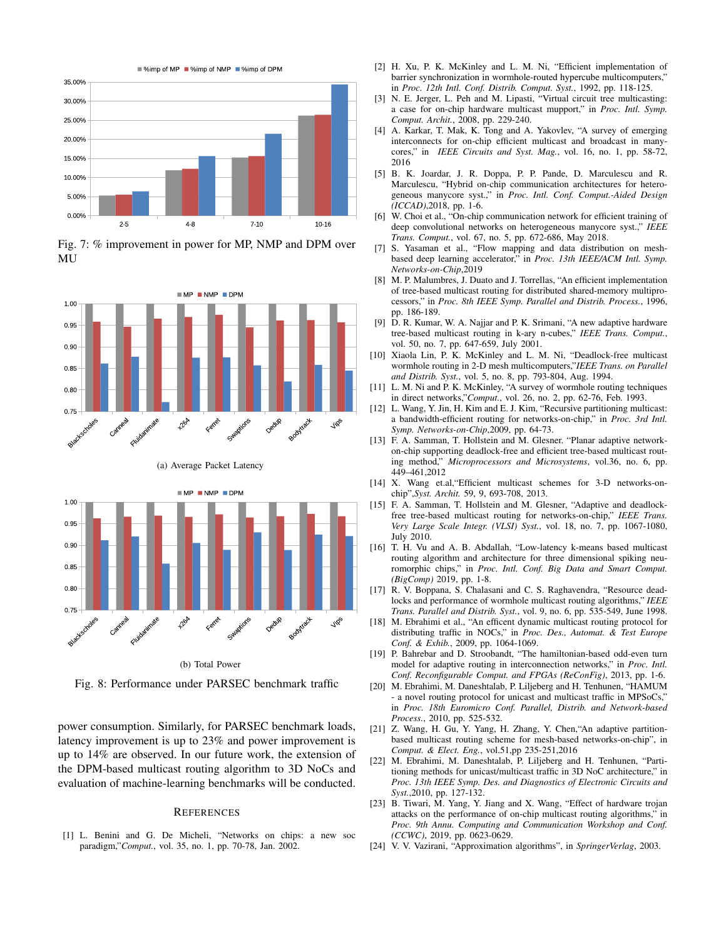

Fig. 7: % improvement in power for MP, NMP and DPM over **MU** 



(a) Average Packet Latency



Fig. 8: Performance under PARSEC benchmark traffic

power consumption. Similarly, for PARSEC benchmark loads, latency improvement is up to 23% and power improvement is up to 14% are observed. In our future work, the extension of the DPM-based multicast routing algorithm to 3D NoCs and evaluation of machine-learning benchmarks will be conducted.

#### **REFERENCES**

[1] L. Benini and G. De Micheli, "Networks on chips: a new soc paradigm,"*Comput.*, vol. 35, no. 1, pp. 70-78, Jan. 2002.

- [2] H. Xu, P. K. McKinley and L. M. Ni, "Efficient implementation of barrier synchronization in wormhole-routed hypercube multicomputers," in *Proc. 12th Intl. Conf. Distrib. Comput. Syst.*, 1992, pp. 118-125.
- [3] N. E. Jerger, L. Peh and M. Lipasti, "Virtual circuit tree multicasting: a case for on-chip hardware multicast mupport," in *Proc. Intl. Symp. Comput. Archit.*, 2008, pp. 229-240.
- [4] A. Karkar, T. Mak, K. Tong and A. Yakovlev, "A survey of emerging interconnects for on-chip efficient multicast and broadcast in manycores," in *IEEE Circuits and Syst. Mag.*, vol. 16, no. 1, pp. 58-72, 2016
- [5] B. K. Joardar, J. R. Doppa, P. P. Pande, D. Marculescu and R. Marculescu, "Hybrid on-chip communication architectures for heterogeneous manycore syst.," in *Proc. Intl. Conf. Comput.-Aided Design (ICCAD)*,2018, pp. 1-6.
- [6] W. Choi et al., "On-chip communication network for efficient training of deep convolutional networks on heterogeneous manycore syst.," *IEEE Trans. Comput.*, vol. 67, no. 5, pp. 672-686, May 2018.
- [7] S. Yasaman et al., "Flow mapping and data distribution on meshbased deep learning accelerator," in *Proc. 13th IEEE/ACM Intl. Symp. Networks-on-Chip*,2019
- [8] M. P. Malumbres, J. Duato and J. Torrellas, "An efficient implementation of tree-based multicast routing for distributed shared-memory multiprocessors," in *Proc. 8th IEEE Symp. Parallel and Distrib. Process.*, 1996, pp. 186-189.
- [9] D. R. Kumar, W. A. Najjar and P. K. Srimani, "A new adaptive hardware tree-based multicast routing in k-ary n-cubes," *IEEE Trans. Comput.*, vol. 50, no. 7, pp. 647-659, July 2001.
- [10] Xiaola Lin, P. K. McKinley and L. M. Ni, "Deadlock-free multicast wormhole routing in 2-D mesh multicomputers,"*IEEE Trans. on Parallel and Distrib. Syst.*, vol. 5, no. 8, pp. 793-804, Aug. 1994.
- [11] L. M. Ni and P. K. McKinley, "A survey of wormhole routing techniques in direct networks,"*Comput.*, vol. 26, no. 2, pp. 62-76, Feb. 1993.
- [12] L. Wang, Y. Jin, H. Kim and E. J. Kim, "Recursive partitioning multicast: a bandwidth-efficient routing for networks-on-chip," in *Proc. 3rd Intl. Symp. Networks-on-Chip*,2009, pp. 64-73.
- [13] F. A. Samman, T. Hollstein and M. Glesner. "Planar adaptive networkon-chip supporting deadlock-free and efficient tree-based multicast routing method," *Microprocessors and Microsystems*, vol.36, no. 6, pp. 449–461,2012
- [14] X. Wang et.al,"Efficient multicast schemes for 3-D networks-onchip",*Syst. Archit.* 59, 9, 693-708, 2013.
- [15] F. A. Samman, T. Hollstein and M. Glesner, "Adaptive and deadlockfree tree-based multicast routing for networks-on-chip," *IEEE Trans. Very Large Scale Integr. (VLSI) Syst.*, vol. 18, no. 7, pp. 1067-1080, July 2010.
- [16] T. H. Vu and A. B. Abdallah, "Low-latency k-means based multicast routing algorithm and architecture for three dimensional spiking neuromorphic chips," in *Proc. Intl. Conf. Big Data and Smart Comput. (BigComp)* 2019, pp. 1-8.
- [17] R. V. Boppana, S. Chalasani and C. S. Raghavendra, "Resource deadlocks and performance of wormhole multicast routing algorithms," *IEEE Trans. Parallel and Distrib. Syst.*, vol. 9, no. 6, pp. 535-549, June 1998.
- [18] M. Ebrahimi et al., "An efficent dynamic multicast routing protocol for distributing traffic in NOCs," in *Proc. Des., Automat. & Test Europe Conf. & Exhib.*, 2009, pp. 1064-1069.
- [19] P. Bahrebar and D. Stroobandt, "The hamiltonian-based odd-even turn model for adaptive routing in interconnection networks," in *Proc. Intl. Conf. Reconfigurable Comput. and FPGAs (ReConFig)*, 2013, pp. 1-6.
- [20] M. Ebrahimi, M. Daneshtalab, P. Liljeberg and H. Tenhunen, "HAMUM - a novel routing protocol for unicast and multicast traffic in MPSoCs," in *Proc. 18th Euromicro Conf. Parallel, Distrib. and Network-based Process.*, 2010, pp. 525-532.
- [21] Z. Wang, H. Gu, Y. Yang, H. Zhang, Y. Chen,"An adaptive partitionbased multicast routing scheme for mesh-based networks-on-chip", in *Comput. & Elect. Eng.*, vol.51,pp 235-251,2016
- [22] M. Ebrahimi, M. Daneshtalab, P. Liljeberg and H. Tenhunen, "Partitioning methods for unicast/multicast traffic in 3D NoC architecture," in *Proc. 13th IEEE Symp. Des. and Diagnostics of Electronic Circuits and Syst.*,2010, pp. 127-132.
- [23] B. Tiwari, M. Yang, Y. Jiang and X. Wang, "Effect of hardware trojan attacks on the performance of on-chip multicast routing algorithms," in *Proc. 9th Annu. Computing and Communication Workshop and Conf. (CCWC)*, 2019, pp. 0623-0629.
- [24] V. V. Vazirani, "Approximation algorithms", in *SpringerVerlag*, 2003.